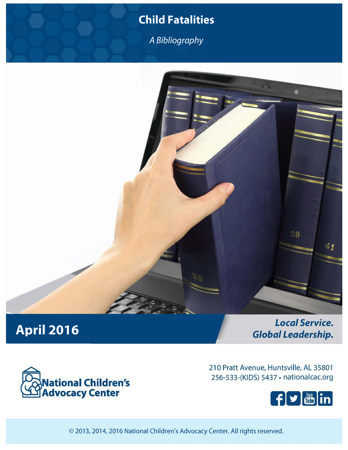## **Child Fatalities**

A Bibliography



# **April 2016**

**Local Service. Global Leadership.** 



210 Pratt Avenue, Huntsville, AL 35801 256-533-(KIDS) 5437 · nationalcac.org



© 2013, 2014, 2016 National Children's Advocacy Center. All rights reserved.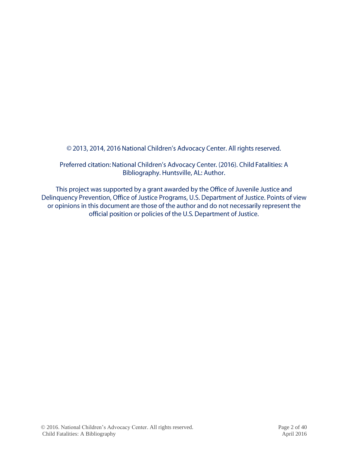© 2013, 2014, 2016 National Children's Advocacy Center. All rights reserved.

Preferred citation: National Children's Advocacy Center. (2016). Child Fatalities: A Bibliography. Huntsville, AL: Author.

This project was supported by a grant awarded by the Office of Juvenile Justice and Delinquency Prevention, Office of Justice Programs, U.S. Department of Justice. Points of view or opinions in this document are those of the author and do not necessarily represent the official position or policies of the U.S. Department of Justice.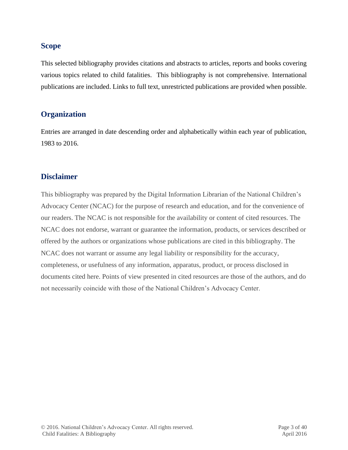## **Scope**

This selected bibliography provides citations and abstracts to articles, reports and books covering various topics related to child fatalities. This bibliography is not comprehensive. International publications are included. Links to full text, unrestricted publications are provided when possible.

## **Organization**

Entries are arranged in date descending order and alphabetically within each year of publication, 1983 to 2016.

## **Disclaimer**

This bibliography was prepared by the Digital Information Librarian of the National Children's Advocacy Center (NCAC) for the purpose of research and education, and for the convenience of our readers. The NCAC is not responsible for the availability or content of cited resources. The NCAC does not endorse, warrant or guarantee the information, products, or services described or offered by the authors or organizations whose publications are cited in this bibliography. The NCAC does not warrant or assume any legal liability or responsibility for the accuracy, completeness, or usefulness of any information, apparatus, product, or process disclosed in documents cited here. Points of view presented in cited resources are those of the authors, and do not necessarily coincide with those of the National Children's Advocacy Center.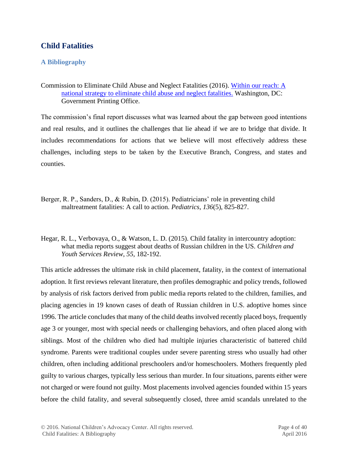## **Child Fatalities**

## **A Bibliography**

Commission to Eliminate Child Abuse and Neglect Fatalities (2016). [Within our reach: A](http://calio.org/images/within-our-reach.pdf)  [national strategy to eliminate child abuse and neglect fatalities.](http://calio.org/images/within-our-reach.pdf) Washington, DC: Government Printing Office.

The commission's final report discusses what was learned about the gap between good intentions and real results, and it outlines the challenges that lie ahead if we are to bridge that divide. It includes recommendations for actions that we believe will most effectively address these challenges, including steps to be taken by the Executive Branch, Congress, and states and counties.

- Berger, R. P., Sanders, D., & Rubin, D. (2015). Pediatricians' role in preventing child maltreatment fatalities: A call to action. *Pediatrics*, *136*(5), 825-827.
- Hegar, R. L., Verbovaya, O., & Watson, L. D. (2015). Child fatality in intercountry adoption: what media reports suggest about deaths of Russian children in the US. *Children and Youth Services Review*, *55*, 182-192.

This article addresses the ultimate risk in child placement, fatality, in the context of international adoption. It first reviews relevant literature, then profiles demographic and policy trends, followed by analysis of risk factors derived from public media reports related to the children, families, and placing agencies in 19 known cases of death of Russian children in U.S. adoptive homes since 1996. The article concludes that many of the child deaths involved recently placed boys, frequently age 3 or younger, most with special needs or challenging behaviors, and often placed along with siblings. Most of the children who died had multiple injuries characteristic of battered child syndrome. Parents were traditional couples under severe parenting stress who usually had other children, often including additional preschoolers and/or homeschoolers. Mothers frequently pled guilty to various charges, typically less serious than murder. In four situations, parents either were not charged or were found not guilty. Most placements involved agencies founded within 15 years before the child fatality, and several subsequently closed, three amid scandals unrelated to the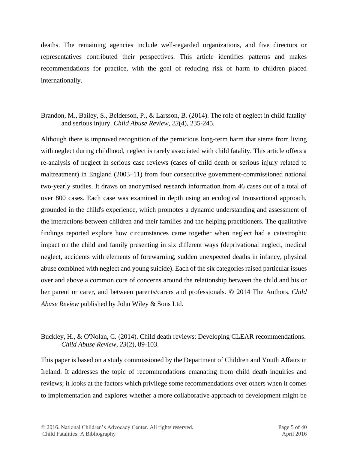deaths. The remaining agencies include well-regarded organizations, and five directors or representatives contributed their perspectives. This article identifies patterns and makes recommendations for practice, with the goal of reducing risk of harm to children placed internationally.

### Brandon, M., Bailey, S., Belderson, P., & Larsson, B. (2014). The role of neglect in child fatality and serious injury. *Child Abuse Review*, *23*(4), 235-245.

Although there is improved recognition of the pernicious long-term harm that stems from living with neglect during childhood, neglect is rarely associated with child fatality. This article offers a re-analysis of neglect in serious case reviews (cases of child death or serious injury related to maltreatment) in England (2003–11) from four consecutive government-commissioned national two-yearly studies. It draws on anonymised research information from 46 cases out of a total of over 800 cases. Each case was examined in depth using an ecological transactional approach, grounded in the child's experience, which promotes a dynamic understanding and assessment of the interactions between children and their families and the helping practitioners. The qualitative findings reported explore how circumstances came together when neglect had a catastrophic impact on the child and family presenting in six different ways (deprivational neglect, medical neglect, accidents with elements of forewarning, sudden unexpected deaths in infancy, physical abuse combined with neglect and young suicide). Each of the six categories raised particular issues over and above a common core of concerns around the relationship between the child and his or her parent or carer, and between parents/carers and professionals. © 2014 The Authors. *Child Abuse Review* published by John Wiley & Sons Ltd.

#### Buckley, H., & O'Nolan, C. (2014). Child death reviews: Developing CLEAR recommendations. *Child Abuse Review*, *23*(2), 89-103.

This paper is based on a study commissioned by the Department of Children and Youth Affairs in Ireland. It addresses the topic of recommendations emanating from child death inquiries and reviews; it looks at the factors which privilege some recommendations over others when it comes to implementation and explores whether a more collaborative approach to development might be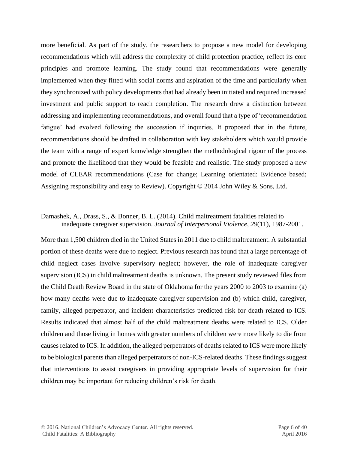more beneficial. As part of the study, the researchers to propose a new model for developing recommendations which will address the complexity of child protection practice, reflect its core principles and promote learning. The study found that recommendations were generally implemented when they fitted with social norms and aspiration of the time and particularly when they synchronized with policy developments that had already been initiated and required increased investment and public support to reach completion. The research drew a distinction between addressing and implementing recommendations, and overall found that a type of 'recommendation fatigue' had evolved following the succession if inquiries. It proposed that in the future, recommendations should be drafted in collaboration with key stakeholders which would provide the team with a range of expert knowledge strengthen the methodological rigour of the process and promote the likelihood that they would be feasible and realistic. The study proposed a new model of CLEAR recommendations (Case for change; Learning orientated: Evidence based; Assigning responsibility and easy to Review). Copyright © 2014 John Wiley & Sons, Ltd.

#### Damashek, A., Drass, S., & Bonner, B. L. (2014). Child maltreatment fatalities related to inadequate caregiver supervision. *Journal of Interpersonal Violence*, *29*(11), 1987-2001.

More than 1,500 children died in the United States in 2011 due to child maltreatment. A substantial portion of these deaths were due to neglect. Previous research has found that a large percentage of child neglect cases involve supervisory neglect; however, the role of inadequate caregiver supervision (ICS) in child maltreatment deaths is unknown. The present study reviewed files from the Child Death Review Board in the state of Oklahoma for the years 2000 to 2003 to examine (a) how many deaths were due to inadequate caregiver supervision and (b) which child, caregiver, family, alleged perpetrator, and incident characteristics predicted risk for death related to ICS. Results indicated that almost half of the child maltreatment deaths were related to ICS. Older children and those living in homes with greater numbers of children were more likely to die from causes related to ICS. In addition, the alleged perpetrators of deaths related to ICS were more likely to be biological parents than alleged perpetrators of non-ICS-related deaths. These findings suggest that interventions to assist caregivers in providing appropriate levels of supervision for their children may be important for reducing children's risk for death.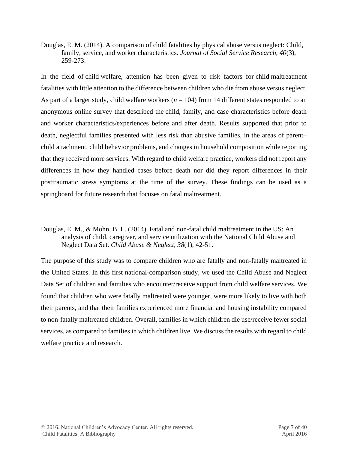Douglas, E. M. (2014). A comparison of child fatalities by physical abuse versus neglect: Child, family, service, and worker characteristics. *Journal of Social Service Research*, *40*(3), 259-273.

In the field of child welfare, attention has been given to risk factors for child maltreatment fatalities with little attention to the difference between children who die from abuse versus neglect. As part of a larger study, child welfare workers (*n* = 104) from 14 different states responded to an anonymous online survey that described the child, family, and case characteristics before death and worker characteristics/experiences before and after death. Results supported that prior to death, neglectful families presented with less risk than abusive families, in the areas of parent– child attachment, child behavior problems, and changes in household composition while reporting that they received more services. With regard to child welfare practice, workers did not report any differences in how they handled cases before death nor did they report differences in their posttraumatic stress symptoms at the time of the survey. These findings can be used as a springboard for future research that focuses on fatal maltreatment.

Douglas, E. M., & Mohn, B. L. (2014). Fatal and non-fatal child maltreatment in the US: An analysis of child, caregiver, and service utilization with the National Child Abuse and Neglect Data Set. *Child Abuse & Neglect*, *38*(1), 42-51.

The purpose of this study was to compare children who are fatally and non-fatally maltreated in the United States. In this first national-comparison study, we used the Child Abuse and Neglect Data Set of children and families who encounter/receive support from child welfare services. We found that children who were fatally maltreated were younger, were more likely to live with both their parents, and that their families experienced more financial and housing instability compared to non-fatally maltreated children. Overall, families in which children die use/receive fewer social services, as compared to families in which children live. We discuss the results with regard to child welfare practice and research.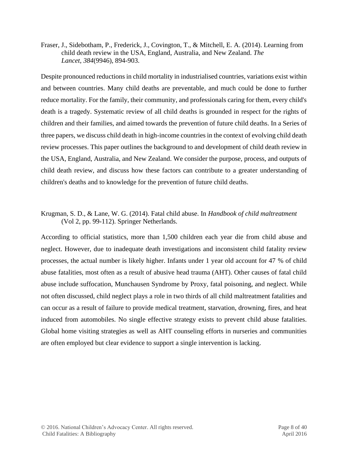Fraser, J., Sidebotham, P., Frederick, J., Covington, T., & Mitchell, E. A. (2014). Learning from child death review in the USA, England, Australia, and New Zealand. *The Lancet*, *384*(9946), 894-903.

Despite pronounced reductions in child mortality in industrialised countries, variations exist within and between countries. Many child deaths are preventable, and much could be done to further reduce mortality. For the family, their community, and professionals caring for them, every child's death is a tragedy. Systematic review of all child deaths is grounded in respect for the rights of children and their families, and aimed towards the prevention of future child deaths. In a Series of three papers, we discuss child death in high-income countries in the context of evolving child death review processes. This paper outlines the background to and development of child death review in the USA, England, Australia, and New Zealand. We consider the purpose, process, and outputs of child death review, and discuss how these factors can contribute to a greater understanding of children's deaths and to knowledge for the prevention of future child deaths.

## Krugman, S. D., & Lane, W. G. (2014). Fatal child abuse. In *Handbook of child maltreatment*  (Vol 2, pp. 99-112). Springer Netherlands.

According to official statistics, more than 1,500 children each year die from child abuse and neglect. However, due to inadequate death investigations and inconsistent child fatality review processes, the actual number is likely higher. Infants under 1 year old account for 47 % of child abuse fatalities, most often as a result of abusive head trauma (AHT). Other causes of fatal child abuse include suffocation, Munchausen Syndrome by Proxy, fatal poisoning, and neglect. While not often discussed, child neglect plays a role in two thirds of all child maltreatment fatalities and can occur as a result of failure to provide medical treatment, starvation, drowning, fires, and heat induced from automobiles. No single effective strategy exists to prevent child abuse fatalities. Global home visiting strategies as well as AHT counseling efforts in nurseries and communities are often employed but clear evidence to support a single intervention is lacking.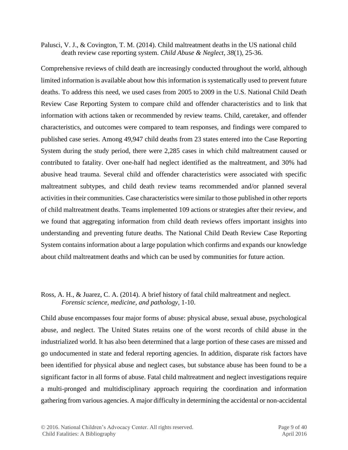Palusci, V. J., & Covington, T. M. (2014). Child maltreatment deaths in the US national child death review case reporting system. *Child Abuse & Neglect*, *38*(1), 25-36.

Comprehensive reviews of child death are increasingly conducted throughout the world, although limited information is available about how this information is systematically used to prevent future deaths. To address this need, we used cases from 2005 to 2009 in the U.S. National Child Death Review Case Reporting System to compare child and offender characteristics and to link that information with actions taken or recommended by review teams. Child, caretaker, and offender characteristics, and outcomes were compared to team responses, and findings were compared to published case series. Among 49,947 child deaths from 23 states entered into the Case Reporting System during the study period, there were 2,285 cases in which child maltreatment caused or contributed to fatality. Over one-half had neglect identified as the maltreatment, and 30% had abusive head trauma. Several child and offender characteristics were associated with specific maltreatment subtypes, and child death review teams recommended and/or planned several activities in their communities. Case characteristics were similar to those published in other reports of child maltreatment deaths. Teams implemented 109 actions or strategies after their review, and we found that aggregating information from child death reviews offers important insights into understanding and preventing future deaths. The National Child Death Review Case Reporting System contains information about a large population which confirms and expands our knowledge about child maltreatment deaths and which can be used by communities for future action.

#### Ross, A. H., & Juarez, C. A. (2014). A brief history of fatal child maltreatment and neglect. *Forensic science, medicine, and pathology*, 1-10.

Child abuse encompasses four major forms of abuse: physical abuse, sexual abuse, psychological abuse, and neglect. The United States retains one of the worst records of child abuse in the industrialized world. It has also been determined that a large portion of these cases are missed and go undocumented in state and federal reporting agencies. In addition, disparate risk factors have been identified for physical abuse and neglect cases, but substance abuse has been found to be a significant factor in all forms of abuse. Fatal child maltreatment and neglect investigations require a multi-pronged and multidisciplinary approach requiring the coordination and information gathering from various agencies. A major difficulty in determining the accidental or non-accidental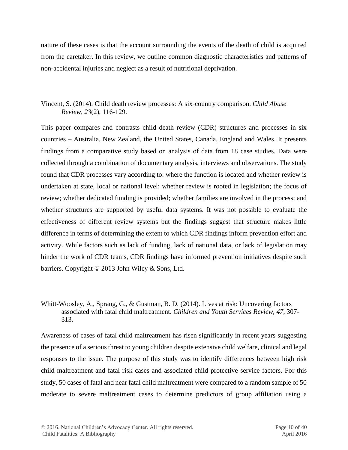nature of these cases is that the account surrounding the events of the death of child is acquired from the caretaker. In this review, we outline common diagnostic characteristics and patterns of non-accidental injuries and neglect as a result of nutritional deprivation.

## Vincent, S. (2014). Child death review processes: A six‐country comparison. *Child Abuse Review*, *23*(2), 116-129.

This paper compares and contrasts child death review (CDR) structures and processes in six countries – Australia, New Zealand, the United States, Canada, England and Wales. It presents findings from a comparative study based on analysis of data from 18 case studies. Data were collected through a combination of documentary analysis, interviews and observations. The study found that CDR processes vary according to: where the function is located and whether review is undertaken at state, local or national level; whether review is rooted in legislation; the focus of review; whether dedicated funding is provided; whether families are involved in the process; and whether structures are supported by useful data systems. It was not possible to evaluate the effectiveness of different review systems but the findings suggest that structure makes little difference in terms of determining the extent to which CDR findings inform prevention effort and activity. While factors such as lack of funding, lack of national data, or lack of legislation may hinder the work of CDR teams, CDR findings have informed prevention initiatives despite such barriers. Copyright © 2013 John Wiley & Sons, Ltd.

#### Whitt-Woosley, A., Sprang, G., & Gustman, B. D. (2014). Lives at risk: Uncovering factors associated with fatal child maltreatment. *Children and Youth Services Review*, *47*, 307- 313.

Awareness of cases of fatal child maltreatment has risen significantly in recent years suggesting the presence of a serious threat to young children despite extensive child welfare, clinical and legal responses to the issue. The purpose of this study was to identify differences between high risk child maltreatment and fatal risk cases and associated child protective service factors. For this study, 50 cases of fatal and near fatal child maltreatment were compared to a random sample of 50 moderate to severe maltreatment cases to determine predictors of group affiliation using a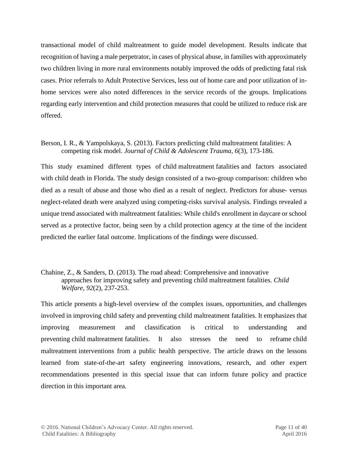transactional model of child maltreatment to guide model development. Results indicate that recognition of having a male perpetrator, in cases of physical abuse, in families with approximately two children living in more rural environments notably improved the odds of predicting fatal risk cases. Prior referrals to Adult Protective Services, less out of home care and poor utilization of inhome services were also noted differences in the service records of the groups. Implications regarding early intervention and child protection measures that could be utilized to reduce risk are offered.

Berson, I. R., & Yampolskaya, S. (2013). Factors predicting child maltreatment fatalities: A competing risk model. *Journal of Child & Adolescent Trauma*, *6*(3), 173-186.

This study examined different types of child maltreatment fatalities and factors associated with child death in Florida. The study design consisted of a two-group comparison: children who died as a result of abuse and those who died as a result of neglect. Predictors for abuse- versus neglect-related death were analyzed using competing-risks survival analysis. Findings revealed a unique trend associated with maltreatment fatalities: While child's enrollment in daycare or school served as a protective factor, being seen by a child protection agency at the time of the incident predicted the earlier fatal outcome. Implications of the findings were discussed.

Chahine, Z., & Sanders, D. (2013). The road ahead: Comprehensive and innovative approaches for improving safety and preventing child maltreatment fatalities. *Child Welfare*, *92*(2), 237-253.

This article presents a high-level overview of the complex issues, opportunities, and challenges involved in improving child safety and preventing child maltreatment fatalities. It emphasizes that improving measurement and classification is critical to understanding and preventing child maltreatment fatalities. It also stresses the need to reframe child maltreatment interventions from a public health perspective. The article draws on the lessons learned from state-of-the-art safety engineering innovations, research, and other expert recommendations presented in this special issue that can inform future policy and practice direction in this important area.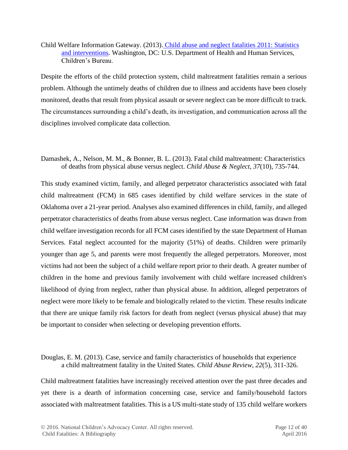#### Child Welfare Information Gateway. (2013). [Child abuse and neglect fatalities 2011: Statistics](https://www.childwelfare.gov/pubs/factsheets/fatality.cfm)  [and interventions](https://www.childwelfare.gov/pubs/factsheets/fatality.cfm)*.* Washington, DC: U.S. Department of Health and Human Services, Children's Bureau.

Despite the efforts of the child protection system, child maltreatment fatalities remain a serious problem. Although the untimely deaths of children due to illness and accidents have been closely monitored, deaths that result from physical assault or severe neglect can be more difficult to track. The circumstances surrounding a child's death, its investigation, and communication across all the disciplines involved complicate data collection.

Damashek, A., Nelson, M. M., & Bonner, B. L. (2013). Fatal child maltreatment: Characteristics of deaths from physical abuse versus neglect. *Child Abuse & Neglect*, *37*(10), 735-744.

This study examined victim, family, and alleged perpetrator characteristics associated with fatal child maltreatment (FCM) in 685 cases identified by child welfare services in the state of Oklahoma over a 21-year period. Analyses also examined differences in child, family, and alleged perpetrator characteristics of deaths from abuse versus neglect. Case information was drawn from child welfare investigation records for all FCM cases identified by the state Department of Human Services. Fatal neglect accounted for the majority (51%) of deaths. Children were primarily younger than age 5, and parents were most frequently the alleged perpetrators. Moreover, most victims had not been the subject of a child welfare report prior to their death. A greater number of children in the home and previous family involvement with child welfare increased children's likelihood of dying from neglect, rather than physical abuse. In addition, alleged perpetrators of neglect were more likely to be female and biologically related to the victim. These results indicate that there are unique family risk factors for death from neglect (versus physical abuse) that may be important to consider when selecting or developing prevention efforts.

Douglas, E. M. (2013). Case, service and family characteristics of households that experience a child maltreatment fatality in the United States. *Child Abuse Review*, *22*(5), 311-326.

Child maltreatment fatalities have increasingly received attention over the past three decades and yet there is a dearth of information concerning case, service and family/household factors associated with maltreatment fatalities. This is a US multi-state study of 135 child welfare workers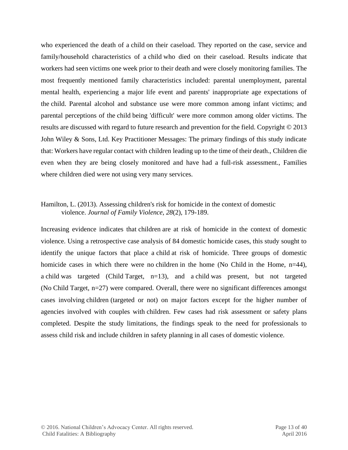who experienced the death of a child on their caseload. They reported on the case, service and family/household characteristics of a child who died on their caseload. Results indicate that workers had seen victims one week prior to their death and were closely monitoring families. The most frequently mentioned family characteristics included: parental unemployment, parental mental health, experiencing a major life event and parents' inappropriate age expectations of the child. Parental alcohol and substance use were more common among infant victims; and parental perceptions of the child being 'difficult' were more common among older victims. The results are discussed with regard to future research and prevention for the field. Copyright © 2013 John Wiley & Sons, Ltd. Key Practitioner Messages: The primary findings of this study indicate that: Workers have regular contact with children leading up to the time of their death., Children die even when they are being closely monitored and have had a full-risk assessment., Families where children died were not using very many services.

#### Hamilton, L. (2013). Assessing children's risk for homicide in the context of domestic violence. *Journal of Family Violence*, *28*(2), 179-189.

Increasing evidence indicates that children are at risk of homicide in the context of domestic violence. Using a retrospective case analysis of 84 domestic homicide cases, this study sought to identify the unique factors that place a child at risk of homicide. Three groups of domestic homicide cases in which there were no children in the home (No Child in the Home, n=44), a child was targeted (Child Target, n=13), and a child was present, but not targeted (No Child Target, n=27) were compared. Overall, there were no significant differences amongst cases involving children (targeted or not) on major factors except for the higher number of agencies involved with couples with children. Few cases had risk assessment or safety plans completed. Despite the study limitations, the findings speak to the need for professionals to assess child risk and include children in safety planning in all cases of domestic violence.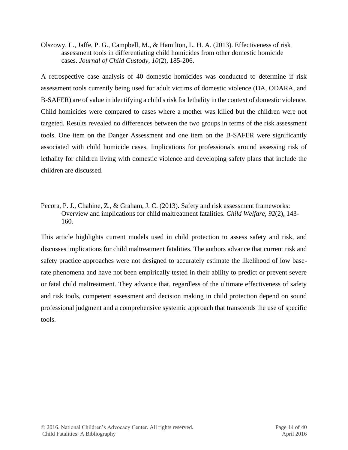Olszowy, L., Jaffe, P. G., Campbell, M., & Hamilton, L. H. A. (2013). Effectiveness of risk assessment tools in differentiating child homicides from other domestic homicide cases. *Journal of Child Custody*, *10*(2), 185-206.

A retrospective case analysis of 40 domestic homicides was conducted to determine if risk assessment tools currently being used for adult victims of domestic violence (DA, ODARA, and B-SAFER) are of value in identifying a child's risk for lethality in the context of domestic violence. Child homicides were compared to cases where a mother was killed but the children were not targeted. Results revealed no differences between the two groups in terms of the risk assessment tools. One item on the Danger Assessment and one item on the B-SAFER were significantly associated with child homicide cases. Implications for professionals around assessing risk of lethality for children living with domestic violence and developing safety plans that include the children are discussed.

Pecora, P. J., Chahine, Z., & Graham, J. C. (2013). Safety and risk assessment frameworks: Overview and implications for child maltreatment fatalities. *Child Welfare*, *92*(2), 143- 160.

This article highlights current models used in child protection to assess safety and risk, and discusses implications for child maltreatment fatalities. The authors advance that current risk and safety practice approaches were not designed to accurately estimate the likelihood of low baserate phenomena and have not been empirically tested in their ability to predict or prevent severe or fatal child maltreatment. They advance that, regardless of the ultimate effectiveness of safety and risk tools, competent assessment and decision making in child protection depend on sound professional judgment and a comprehensive systemic approach that transcends the use of specific tools.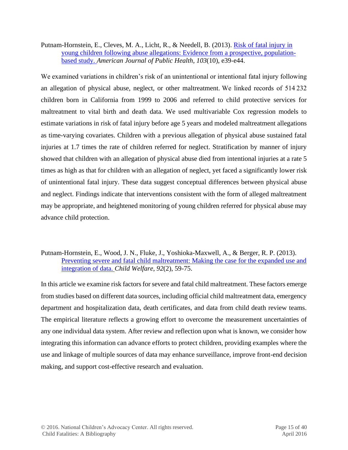Putnam-Hornstein, E., Cleves, M. A., Licht, R., & Needell, B. (2013). [Risk of fatal injury in](http://www.ncbi.nlm.nih.gov/pmc/articles/PMC3780759/)  [young children following abuse allegations: Evidence from a prospective, population](http://www.ncbi.nlm.nih.gov/pmc/articles/PMC3780759/)[based study.](http://www.ncbi.nlm.nih.gov/pmc/articles/PMC3780759/) *American Journal of Public Health*, *103*(10), e39-e44.

We examined variations in children's risk of an unintentional or intentional fatal injury following an allegation of physical abuse, neglect, or other maltreatment. We linked records of 514 232 children born in California from 1999 to 2006 and referred to child protective services for maltreatment to vital birth and death data. We used multivariable Cox regression models to estimate variations in risk of fatal injury before age 5 years and modeled maltreatment allegations as time-varying covariates. Children with a previous allegation of physical abuse sustained fatal injuries at 1.7 times the rate of children referred for neglect. Stratification by manner of injury showed that children with an allegation of physical abuse died from intentional injuries at a rate 5 times as high as that for children with an allegation of neglect, yet faced a significantly lower risk of unintentional fatal injury. These data suggest conceptual differences between physical abuse and neglect. Findings indicate that interventions consistent with the form of alleged maltreatment may be appropriate, and heightened monitoring of young children referred for physical abuse may advance child protection.

#### Putnam-Hornstein, E., Wood, J. N., Fluke, J., Yoshioka-Maxwell, A., & Berger, R. P. (2013). [Preventing severe and fatal child maltreatment: Making the case for the expanded use and](http://www.ucdenver.edu/academics/colleges/medicalschool/departments/pediatrics/subs/%09can/research/pubs/Documents/2013%20Preventing%20severe%20and%20fatal%20child%20maltreatment.pdf)  [integration of data.](http://www.ucdenver.edu/academics/colleges/medicalschool/departments/pediatrics/subs/%09can/research/pubs/Documents/2013%20Preventing%20severe%20and%20fatal%20child%20maltreatment.pdf) *Child Welfare*, *92*(2), 59-75.

In this article we examine risk factors for severe and fatal child maltreatment. These factors emerge from studies based on different data sources, including official child maltreatment data, emergency department and hospitalization data, death certificates, and data from child death review teams. The empirical literature reflects a growing effort to overcome the measurement uncertainties of any one individual data system. After review and reflection upon what is known, we consider how integrating this information can advance efforts to protect children, providing examples where the use and linkage of multiple sources of data may enhance surveillance, improve front-end decision making, and support cost-effective research and evaluation.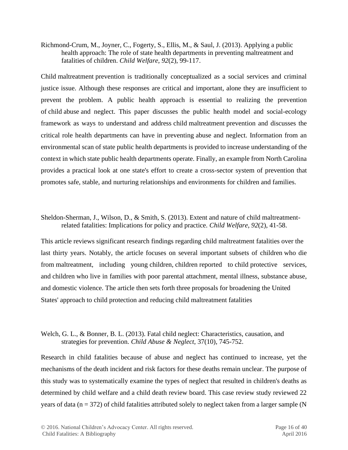Richmond-Crum, M., Joyner, C., Fogerty, S., Ellis, M., & Saul, J. (2013). Applying a public health approach: The role of state health departments in preventing maltreatment and fatalities of children. *Child Welfare*, *92*(2), 99-117.

Child maltreatment prevention is traditionally conceptualized as a social services and criminal justice issue. Although these responses are critical and important, alone they are insufficient to prevent the problem. A public health approach is essential to realizing the prevention of child abuse and neglect. This paper discusses the public health model and social-ecology framework as ways to understand and address child maltreatment prevention and discusses the critical role health departments can have in preventing abuse and neglect. Information from an environmental scan of state public health departments is provided to increase understanding of the context in which state public health departments operate. Finally, an example from North Carolina provides a practical look at one state's effort to create a cross-sector system of prevention that promotes safe, stable, and nurturing relationships and environments for children and families.

Sheldon-Sherman, J., Wilson, D., & Smith, S. (2013). Extent and nature of child maltreatmentrelated fatalities: Implications for policy and practice. *Child Welfare*, *92*(2), 41-58.

This article reviews significant research findings regarding child maltreatment fatalities over the last thirty years. Notably, the article focuses on several important subsets of children who die from maltreatment, including young children, children reported to child protective services, and children who live in families with poor parental attachment, mental illness, substance abuse, and domestic violence. The article then sets forth three proposals for broadening the United States' approach to child protection and reducing child maltreatment fatalities

## Welch, G. L., & Bonner, B. L. (2013). Fatal child neglect: Characteristics, causation, and strategies for prevention. *Child Abuse & Neglect*, 37(10), 745-752.

Research in child fatalities because of abuse and neglect has continued to increase, yet the mechanisms of the death incident and risk factors for these deaths remain unclear. The purpose of this study was to systematically examine the types of neglect that resulted in children's deaths as determined by child welfare and a child death review board. This case review study reviewed 22 years of data ( $n = 372$ ) of child fatalities attributed solely to neglect taken from a larger sample (N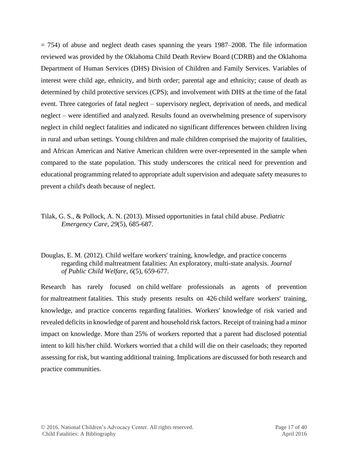$= 754$ ) of abuse and neglect death cases spanning the years 1987–2008. The file information reviewed was provided by the Oklahoma Child Death Review Board (CDRB) and the Oklahoma Department of Human Services (DHS) Division of Children and Family Services. Variables of interest were child age, ethnicity, and birth order; parental age and ethnicity; cause of death as determined by child protective services (CPS); and involvement with DHS at the time of the fatal event. Three categories of fatal neglect – supervisory neglect, deprivation of needs, and medical neglect – were identified and analyzed. Results found an overwhelming presence of supervisory neglect in child neglect fatalities and indicated no significant differences between children living in rural and urban settings. Young children and male children comprised the majority of fatalities, and African American and Native American children were over-represented in the sample when compared to the state population. This study underscores the critical need for prevention and educational programming related to appropriate adult supervision and adequate safety measures to prevent a child's death because of neglect.

- Tilak, G. S., & Pollock, A. N. (2013). Missed opportunities in fatal child abuse. *Pediatric Emergency Care*, *29*(5), 685-687.
- Douglas, E. M. (2012). Child welfare workers' training, knowledge, and practice concerns regarding child maltreatment fatalities: An exploratory, multi-state analysis. *Journal of Public Child Welfare*, *6*(5), 659-677.

Research has rarely focused on child welfare professionals as agents of prevention for maltreatment fatalities. This study presents results on 426 child welfare workers' training, knowledge, and practice concerns regarding fatalities. Workers' knowledge of risk varied and revealed deficits in knowledge of parent and household risk factors. Receipt of training had a minor impact on knowledge. More than 25% of workers reported that a parent had disclosed potential intent to kill his/her child. Workers worried that a child will die on their caseloads; they reported assessing for risk, but wanting additional training. Implications are discussed for both research and practice communities.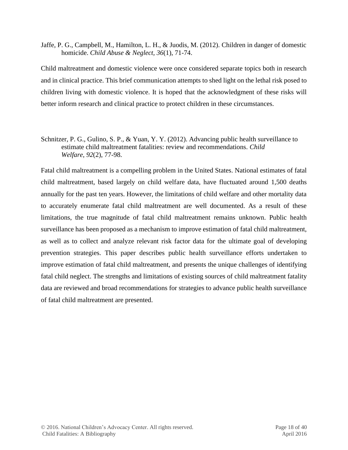Jaffe, P. G., Campbell, M., Hamilton, L. H., & Juodis, M. (2012). Children in danger of domestic homicide. *Child Abuse & Neglect, 36*(1), 71-74.

Child maltreatment and domestic violence were once considered separate topics both in research and in clinical practice. This brief communication attempts to shed light on the lethal risk posed to children living with domestic violence. It is hoped that the acknowledgment of these risks will better inform research and clinical practice to protect children in these circumstances.

Schnitzer, P. G., Gulino, S. P., & Yuan, Y. Y. (2012). Advancing public health surveillance to estimate child maltreatment fatalities: review and recommendations. *Child Welfare*, *92*(2), 77-98.

Fatal child maltreatment is a compelling problem in the United States. National estimates of fatal child maltreatment, based largely on child welfare data, have fluctuated around 1,500 deaths annually for the past ten years. However, the limitations of child welfare and other mortality data to accurately enumerate fatal child maltreatment are well documented. As a result of these limitations, the true magnitude of fatal child maltreatment remains unknown. Public health surveillance has been proposed as a mechanism to improve estimation of fatal child maltreatment, as well as to collect and analyze relevant risk factor data for the ultimate goal of developing prevention strategies. This paper describes public health surveillance efforts undertaken to improve estimation of fatal child maltreatment, and presents the unique challenges of identifying fatal child neglect. The strengths and limitations of existing sources of child maltreatment fatality data are reviewed and broad recommendations for strategies to advance public health surveillance of fatal child maltreatment are presented.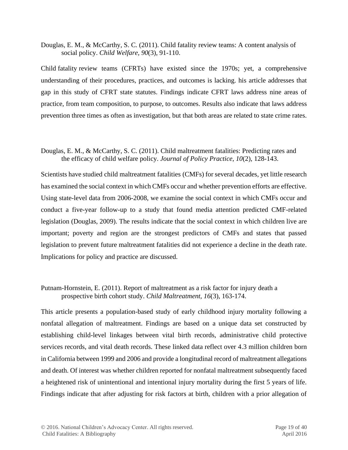Douglas, E. M., & McCarthy, S. C. (2011). Child fatality review teams: A content analysis of social policy. *Child Welfare*, *90*(3), 91-110.

Child fatality review teams (CFRTs) have existed since the 1970s; yet, a comprehensive understanding of their procedures, practices, and outcomes is lacking. his article addresses that gap in this study of CFRT state statutes. Findings indicate CFRT laws address nine areas of practice, from team composition, to purpose, to outcomes. Results also indicate that laws address prevention three times as often as investigation, but that both areas are related to state crime rates.

### Douglas, E. M., & McCarthy, S. C. (2011). Child maltreatment fatalities: Predicting rates and the efficacy of child welfare policy. *Journal of Policy Practice*, *10*(2), 128-143.

Scientists have studied child maltreatment fatalities (CMFs) for several decades, yet little research has examined the social context in which CMFs occur and whether prevention efforts are effective. Using state-level data from 2006-2008, we examine the social context in which CMFs occur and conduct a five-year follow-up to a study that found media attention predicted CMF-related legislation (Douglas, 2009). The results indicate that the social context in which children live are important; poverty and region are the strongest predictors of CMFs and states that passed legislation to prevent future maltreatment fatalities did not experience a decline in the death rate. Implications for policy and practice are discussed.

## Putnam-Hornstein, E. (2011). Report of maltreatment as a risk factor for injury death a prospective birth cohort study. *Child Maltreatment*, *16*(3), 163-174.

This article presents a population-based study of early childhood injury mortality following a nonfatal allegation of maltreatment. Findings are based on a unique data set constructed by establishing child-level linkages between vital birth records, administrative child protective services records, and vital death records. These linked data reflect over 4.3 million children born in California between 1999 and 2006 and provide a longitudinal record of maltreatment allegations and death. Of interest was whether children reported for nonfatal maltreatment subsequently faced a heightened risk of unintentional and intentional injury mortality during the first 5 years of life. Findings indicate that after adjusting for risk factors at birth, children with a prior allegation of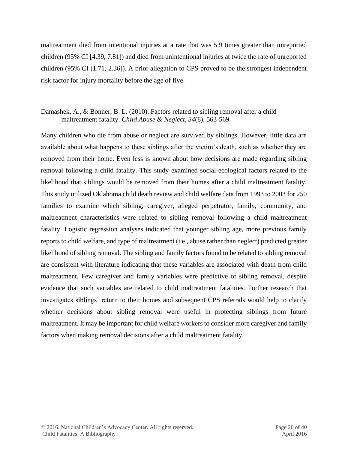maltreatment died from intentional injuries at a rate that was 5.9 times greater than unreported children (95% CI [4.39, 7.81]) and died from unintentional injuries at twice the rate of unreported children (95% CI [1.71, 2.36]). A prior allegation to CPS proved to be the strongest independent risk factor for injury mortality before the age of five.

#### Damashek, A., & Bonner, B. L. (2010). Factors related to sibling removal after a child maltreatment fatality. *Child Abuse & Neglect*, *34*(8), 563-569.

Many children who die from abuse or neglect are survived by siblings. However, little data are available about what happens to these siblings after the victim's death, such as whether they are removed from their home. Even less is known about how decisions are made regarding sibling removal following a child fatality. This study examined social-ecological factors related to the likelihood that siblings would be removed from their homes after a child maltreatment fatality. This study utilized Oklahoma child death review and child welfare data from 1993 to 2003 for 250 families to examine which sibling, caregiver, alleged perpetrator, family, community, and maltreatment characteristics were related to sibling removal following a child maltreatment fatality. Logistic regression analyses indicated that younger sibling age, more previous family reports to child welfare, and type of maltreatment (i.e., abuse rather than neglect) predicted greater likelihood of sibling removal. The sibling and family factors found to be related to sibling removal are consistent with literature indicating that these variables are associated with death from child maltreatment. Few caregiver and family variables were predictive of sibling removal, despite evidence that such variables are related to child maltreatment fatalities. Further research that investigates siblings' return to their homes and subsequent CPS referrals would help to clarify whether decisions about sibling removal were useful in protecting siblings from future maltreatment. It may be important for child welfare workers to consider more caregiver and family factors when making removal decisions after a child maltreatment fatality.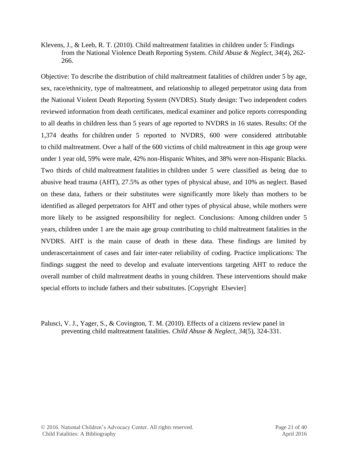Klevens, J., & Leeb, R. T. (2010). Child maltreatment fatalities in children under 5: Findings from the National Violence Death Reporting System. *Child Abuse & Neglect*, *34*(4), 262- 266.

Objective: To describe the distribution of child maltreatment fatalities of children under 5 by age, sex, race/ethnicity, type of maltreatment, and relationship to alleged perpetrator using data from the National Violent Death Reporting System (NVDRS). Study design: Two independent coders reviewed information from death certificates, medical examiner and police reports corresponding to all deaths in children less than 5 years of age reported to NVDRS in 16 states. Results: Of the 1,374 deaths for children under 5 reported to NVDRS, 600 were considered attributable to child maltreatment. Over a half of the 600 victims of child maltreatment in this age group were under 1 year old, 59% were male, 42% non-Hispanic Whites, and 38% were non-Hispanic Blacks. Two thirds of child maltreatment fatalities in children under 5 were classified as being due to abusive head trauma (AHT), 27.5% as other types of physical abuse, and 10% as neglect. Based on these data, fathers or their substitutes were significantly more likely than mothers to be identified as alleged perpetrators for AHT and other types of physical abuse, while mothers were more likely to be assigned responsibility for neglect. Conclusions: Among children under 5 years, children under 1 are the main age group contributing to child maltreatment fatalities in the NVDRS. AHT is the main cause of death in these data. These findings are limited by underascertainment of cases and fair inter-rater reliability of coding. Practice implications: The findings suggest the need to develop and evaluate interventions targeting AHT to reduce the overall number of child maltreatment deaths in young children. These interventions should make special efforts to include fathers and their substitutes. [Copyright Elsevier]

Palusci, V. J., Yager, S., & Covington, T. M. (2010). Effects of a citizens review panel in preventing child maltreatment fatalities. *Child Abuse & Neglect*, *34*(5), 324-331.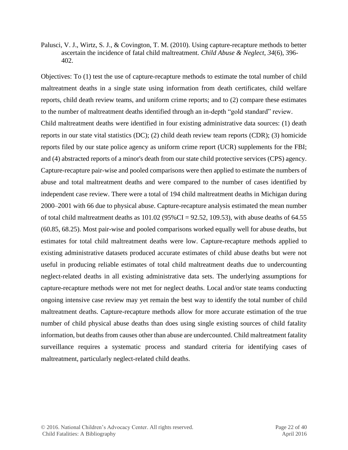Palusci, V. J., Wirtz, S. J., & Covington, T. M. (2010). Using capture-recapture methods to better ascertain the incidence of fatal child maltreatment. *Child Abuse & Neglect*, *34*(6), 396- 402.

Objectives: To (1) test the use of capture-recapture methods to estimate the total number of child maltreatment deaths in a single state using information from death certificates, child welfare reports, child death review teams, and uniform crime reports; and to (2) compare these estimates to the number of maltreatment deaths identified through an in-depth "gold standard" review.

Child maltreatment deaths were identified in four existing administrative data sources: (1) death reports in our state vital statistics (DC); (2) child death review team reports (CDR); (3) homicide reports filed by our state police agency as uniform crime report (UCR) supplements for the FBI; and (4) abstracted reports of a minor's death from our state child protective services (CPS) agency. Capture-recapture pair-wise and pooled comparisons were then applied to estimate the numbers of abuse and total maltreatment deaths and were compared to the number of cases identified by independent case review. There were a total of 194 child maltreatment deaths in Michigan during 2000–2001 with 66 due to physical abuse. Capture-recapture analysis estimated the mean number of total child maltreatment deaths as  $101.02$  (95%CI = 92.52, 109.53), with abuse deaths of 64.55 (60.85, 68.25). Most pair-wise and pooled comparisons worked equally well for abuse deaths, but estimates for total child maltreatment deaths were low. Capture-recapture methods applied to existing administrative datasets produced accurate estimates of child abuse deaths but were not useful in producing reliable estimates of total child maltreatment deaths due to undercounting neglect-related deaths in all existing administrative data sets. The underlying assumptions for capture-recapture methods were not met for neglect deaths. Local and/or state teams conducting ongoing intensive case review may yet remain the best way to identify the total number of child maltreatment deaths. Capture-recapture methods allow for more accurate estimation of the true number of child physical abuse deaths than does using single existing sources of child fatality information, but deaths from causes other than abuse are undercounted. Child maltreatment fatality surveillance requires a systematic process and standard criteria for identifying cases of maltreatment, particularly neglect-related child deaths.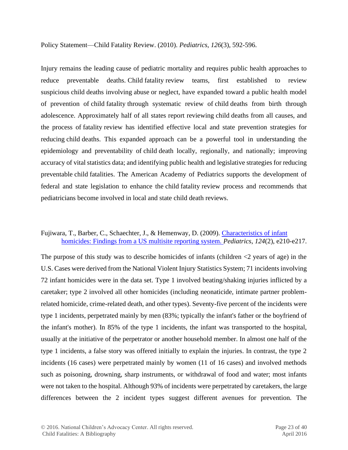Policy Statement—Child Fatality Review. (2010). *Pediatrics*, *126*(3), 592-596.

Injury remains the leading cause of pediatric mortality and requires public health approaches to reduce preventable deaths. Child fatality review teams, first established to review suspicious child deaths involving abuse or neglect, have expanded toward a public health model of prevention of child fatality through systematic review of child deaths from birth through adolescence. Approximately half of all states report reviewing child deaths from all causes, and the process of fatality review has identified effective local and state prevention strategies for reducing child deaths. This expanded approach can be a powerful tool in understanding the epidemiology and preventability of child death locally, regionally, and nationally; improving accuracy of vital statistics data; and identifying public health and legislative strategies for reducing preventable child fatalities. The American Academy of Pediatrics supports the development of federal and state legislation to enhance the child fatality review process and recommends that pediatricians become involved in local and state child death reviews.

#### Fujiwara, T., Barber, C., Schaechter, J., & Hemenway, D. (2009). Characteristics of infant [homicides: Findings from a US multisite reporting system.](http://www.pediatricsdigest.mobi/content/124/2/e210.full) *Pediatrics*, *124*(2), e210-e217.

The purpose of this study was to describe homicides of infants (children  $\langle 2 \rangle$  years of age) in the U.S. Cases were derived from the National Violent Injury Statistics System; 71 incidents involving 72 infant homicides were in the data set. Type 1 involved beating/shaking injuries inflicted by a caretaker; type 2 involved all other homicides (including neonaticide, intimate partner problemrelated homicide, crime-related death, and other types). Seventy-five percent of the incidents were type 1 incidents, perpetrated mainly by men (83%; typically the infant's father or the boyfriend of the infant's mother). In 85% of the type 1 incidents, the infant was transported to the hospital, usually at the initiative of the perpetrator or another household member. In almost one half of the type 1 incidents, a false story was offered initially to explain the injuries. In contrast, the type 2 incidents (16 cases) were perpetrated mainly by women (11 of 16 cases) and involved methods such as poisoning, drowning, sharp instruments, or withdrawal of food and water; most infants were not taken to the hospital. Although 93% of incidents were perpetrated by caretakers, the large differences between the 2 incident types suggest different avenues for prevention. The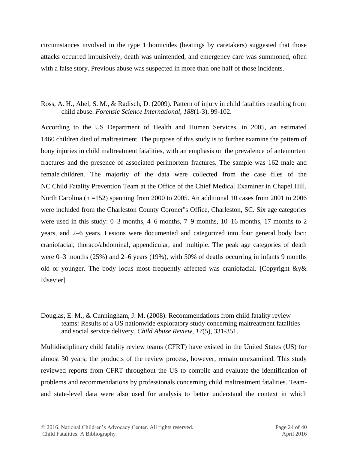circumstances involved in the type 1 homicides (beatings by caretakers) suggested that those attacks occurred impulsively, death was unintended, and emergency care was summoned, often with a false story. Previous abuse was suspected in more than one half of those incidents.

Ross, A. H., Abel, S. M., & Radisch, D. (2009). Pattern of injury in child fatalities resulting from child abuse. *Forensic Science International*, *188*(1-3), 99-102.

According to the US Department of Health and Human Services, in 2005, an estimated 1460 children died of maltreatment. The purpose of this study is to further examine the pattern of bony injuries in child maltreatment fatalities, with an emphasis on the prevalence of antemortem fractures and the presence of associated perimortem fractures. The sample was 162 male and female children. The majority of the data were collected from the case files of the NC Child Fatality Prevention Team at the Office of the Chief Medical Examiner in Chapel Hill, North Carolina (n =152) spanning from 2000 to 2005. An additional 10 cases from 2001 to 2006 were included from the Charleston County Coroner''s Office, Charleston, SC. Six age categories were used in this study: 0–3 months, 4–6 months, 7–9 months, 10–16 months, 17 months to 2 years, and 2–6 years. Lesions were documented and categorized into four general body loci: craniofacial, thoraco/abdominal, appendicular, and multiple. The peak age categories of death were 0–3 months (25%) and 2–6 years (19%), with 50% of deaths occurring in infants 9 months old or younger. The body locus most frequently affected was craniofacial. [Copyright &y& Elsevier]

Douglas, E. M., & Cunningham, J. M. (2008). Recommendations from child fatality review teams: Results of a US nationwide exploratory study concerning maltreatment fatalities and social service delivery. *Child Abuse Review*, *17*(5), 331-351.

Multidisciplinary child fatality review teams (CFRT) have existed in the United States (US) for almost 30 years; the products of the review process, however, remain unexamined. This study reviewed reports from CFRT throughout the US to compile and evaluate the identification of problems and recommendations by professionals concerning child maltreatment fatalities. Teamand state-level data were also used for analysis to better understand the context in which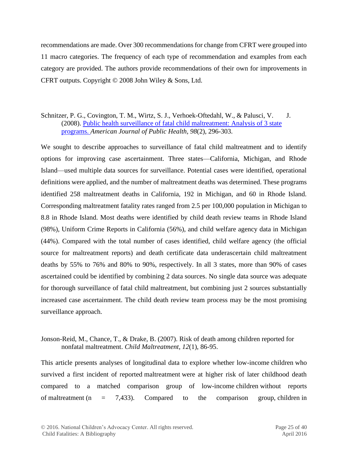recommendations are made. Over 300 recommendations for change from CFRT were grouped into 11 macro categories. The frequency of each type of recommendation and examples from each category are provided. The authors provide recommendations of their own for improvements in CFRT outputs. Copyright © 2008 John Wiley & Sons, Ltd.

#### Schnitzer, P. G., Covington, T. M., Wirtz, S. J., Verhoek-Oftedahl, W., & Palusci, V. J. (2008). [Public health surveillance of fatal child maltreatment: Analysis of 3 state](http://www.ncbi.nlm.nih.gov/pmc/articles/PMC2376893/pdf/0980296.pdf)  [programs.](http://www.ncbi.nlm.nih.gov/pmc/articles/PMC2376893/pdf/0980296.pdf) *American Journal of Public Health*, *98*(2), 296-303.

We sought to describe approaches to surveillance of fatal child maltreatment and to identify options for improving case ascertainment. Three states—California, Michigan, and Rhode Island—used multiple data sources for surveillance. Potential cases were identified, operational definitions were applied, and the number of maltreatment deaths was determined. These programs identified 258 maltreatment deaths in California, 192 in Michigan, and 60 in Rhode Island. Corresponding maltreatment fatality rates ranged from 2.5 per 100,000 population in Michigan to 8.8 in Rhode Island. Most deaths were identified by child death review teams in Rhode Island (98%), Uniform Crime Reports in California (56%), and child welfare agency data in Michigan (44%). Compared with the total number of cases identified, child welfare agency (the official source for maltreatment reports) and death certificate data underascertain child maltreatment deaths by 55% to 76% and 80% to 90%, respectively. In all 3 states, more than 90% of cases ascertained could be identified by combining 2 data sources. No single data source was adequate for thorough surveillance of fatal child maltreatment, but combining just 2 sources substantially increased case ascertainment. The child death review team process may be the most promising surveillance approach.

## Jonson-Reid, M., Chance, T., & Drake, B. (2007). Risk of death among children reported for nonfatal maltreatment. *Child Maltreatment*, *12*(1), 86-95.

This article presents analyses of longitudinal data to explore whether low-income children who survived a first incident of reported maltreatment were at higher risk of later childhood death compared to a matched comparison group of low-income children without reports of maltreatment (n =  $7,433$ ). Compared to the comparison group, children in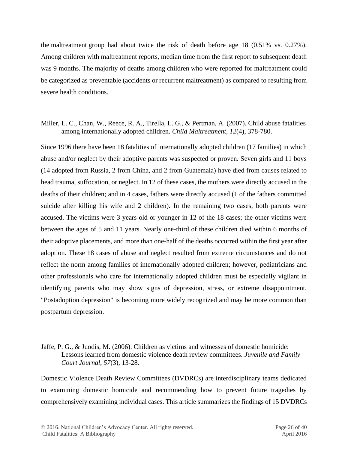the maltreatment group had about twice the risk of death before age 18 (0.51% vs. 0.27%). Among children with maltreatment reports, median time from the first report to subsequent death was 9 months. The majority of deaths among children who were reported for maltreatment could be categorized as preventable (accidents or recurrent maltreatment) as compared to resulting from severe health conditions.

#### Miller, L. C., Chan, W., Reece, R. A., Tirella, L. G., & Pertman, A. (2007). Child abuse fatalities among internationally adopted children. *Child Maltreatment*, *12*(4), 378-780.

Since 1996 there have been 18 fatalities of internationally adopted children (17 families) in which abuse and/or neglect by their adoptive parents was suspected or proven. Seven girls and 11 boys (14 adopted from Russia, 2 from China, and 2 from Guatemala) have died from causes related to head trauma, suffocation, or neglect. In 12 of these cases, the mothers were directly accused in the deaths of their children; and in 4 cases, fathers were directly accused (1 of the fathers committed suicide after killing his wife and 2 children). In the remaining two cases, both parents were accused. The victims were 3 years old or younger in 12 of the 18 cases; the other victims were between the ages of 5 and 11 years. Nearly one-third of these children died within 6 months of their adoptive placements, and more than one-half of the deaths occurred within the first year after adoption. These 18 cases of abuse and neglect resulted from extreme circumstances and do not reflect the norm among families of internationally adopted children; however, pediatricians and other professionals who care for internationally adopted children must be especially vigilant in identifying parents who may show signs of depression, stress, or extreme disappointment. "Postadoption depression" is becoming more widely recognized and may be more common than postpartum depression.

#### Jaffe, P. G., & Juodis, M. (2006). Children as victims and witnesses of domestic homicide: Lessons learned from domestic violence death review committees. *Juvenile and Family Court Journal*, *57*(3), 13-28.

Domestic Violence Death Review Committees (DVDRCs) are interdisciplinary teams dedicated to examining domestic homicide and recommending how to prevent future tragedies by comprehensively examining individual cases. This article summarizes the findings of 15 DVDRCs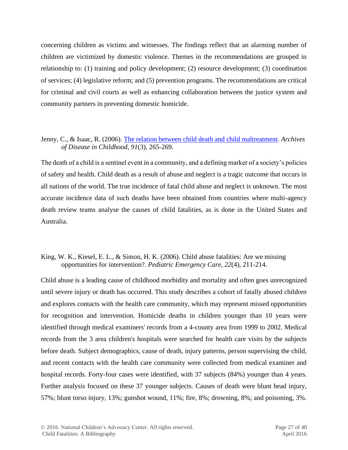concerning children as victims and witnesses. The findings reflect that an alarming number of children are victimized by domestic violence. Themes in the recommendations are grouped in relationship to: (1) training and policy development; (2) resource development; (3) coordination of services; (4) legislative reform; and (5) prevention programs. The recommendations are critical for criminal and civil courts as well as enhancing collaboration between the justice system and community partners in preventing domestic homicide.

#### Jenny, C., & Isaac, R. (2006). [The relation between child death and child maltreatment.](http://www.ncbi.nlm.nih.gov/pmc/articles/PMC2065955/) *Archives of Disease in Childhood*, *91*(3), 265-269.

The death of a child is a sentinel event in a community, and a defining marker of a society's policies of safety and health. Child death as a result of abuse and neglect is a tragic outcome that occurs in all nations of the world. The true incidence of fatal child abuse and neglect is unknown. The most accurate incidence data of such deaths have been obtained from countries where multi-agency death review teams analyse the causes of child fatalities, as is done in the United States and Australia.

#### King, W. K., Kiesel, E. L., & Simon, H. K. (2006). Child abuse fatalities: Are we missing opportunities for intervention?. *Pediatric Emergency Care*, *22*(4), 211-214.

Child abuse is a leading cause of childhood morbidity and mortality and often goes unrecognized until severe injury or death has occurred. This study describes a cohort of fatally abused children and explores contacts with the health care community, which may represent missed opportunities for recognition and intervention. Homicide deaths in children younger than 10 years were identified through medical examiners' records from a 4-county area from 1999 to 2002. Medical records from the 3 area children's hospitals were searched for health care visits by the subjects before death. Subject demographics, cause of death, injury patterns, person supervising the child, and recent contacts with the health care community were collected from medical examiner and hospital records. Forty-four cases were identified, with 37 subjects (84%) younger than 4 years. Further analysis focused on these 37 younger subjects. Causes of death were blunt head injury, 57%; blunt torso injury, 13%; gunshot wound, 11%; fire, 8%; drowning, 8%; and poisoning, 3%.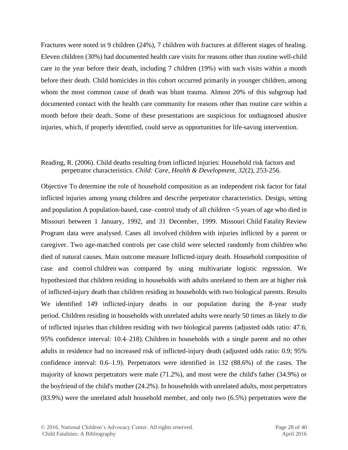Fractures were noted in 9 children (24%), 7 children with fractures at different stages of healing. Eleven children (30%) had documented health care visits for reasons other than routine well-child care in the year before their death, including 7 children (19%) with such visits within a month before their death. Child homicides in this cohort occurred primarily in younger children, among whom the most common cause of death was blunt trauma. Almost 20% of this subgroup had documented contact with the health care community for reasons other than routine care within a month before their death. Some of these presentations are suspicious for undiagnosed abusive injuries, which, if properly identified, could serve as opportunities for life-saving intervention.

#### Reading, R. (2006). Child deaths resulting from inflicted injuries: Household risk factors and perpetrator characteristics. *Child: Care, Health & Development*, *32*(2), 253-256.

Objective To determine the role of household composition as an independent risk factor for fatal inflicted injuries among young children and describe perpetrator characteristics. Design, setting and population A population-based, case–control study of all children <5 years of age who died in Missouri between 1 January, 1992, and 31 December, 1999. Missouri Child Fatality Review Program data were analysed. Cases all involved children with injuries inflicted by a parent or caregiver. Two age-matched controls per case child were selected randomly from children who died of natural causes. Main outcome measure Inflicted-injury death. Household composition of case and control children was compared by using multivariate logistic regression. We hypothesized that children residing in households with adults unrelated to them are at higher risk of inflicted-injury death than children residing in households with two biological parents. Results We identified 149 inflicted-injury deaths in our population during the 8-year study period. Children residing in households with unrelated adults were nearly 50 times as likely to die of inflicted injuries than children residing with two biological parents (adjusted odds ratio: 47.6; 95% confidence interval: 10.4–218). Children in households with a single parent and no other adults in residence had no increased risk of inflicted-injury death (adjusted odds ratio: 0.9; 95% confidence interval: 0.6–1.9). Perpetrators were identified in 132 (88.6%) of the cases. The majority of known perpetrators were male (71.2%), and most were the child's father (34.9%) or the boyfriend of the child's mother (24.2%). In households with unrelated adults, most perpetrators (83.9%) were the unrelated adult household member, and only two (6.5%) perpetrators were the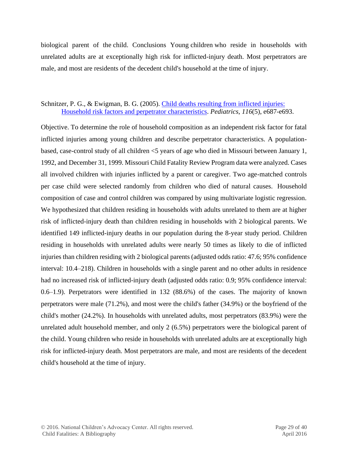biological parent of the child. Conclusions Young children who reside in households with unrelated adults are at exceptionally high risk for inflicted-injury death. Most perpetrators are male, and most are residents of the decedent child's household at the time of injury.

#### Schnitzer, P. G., & Ewigman, B. G. (2005). [Child deaths resulting from inflicted injuries:](http://www.pediatricsdigest.mobi/content/116/5/e687.full.pdf+html) [Household risk factors and perpetrator characteristics.](http://www.pediatricsdigest.mobi/content/116/5/e687.full.pdf+html) *Pediatrics*, *116*(5), e687-e693.

Objective. To determine the role of household composition as an independent risk factor for fatal inflicted injuries among young children and describe perpetrator characteristics. A populationbased, case-control study of all children <5 years of age who died in Missouri between January 1, 1992, and December 31, 1999. Missouri Child Fatality Review Program data were analyzed. Cases all involved children with injuries inflicted by a parent or caregiver. Two age-matched controls per case child were selected randomly from children who died of natural causes. Household composition of case and control children was compared by using multivariate logistic regression. We hypothesized that children residing in households with adults unrelated to them are at higher risk of inflicted-injury death than children residing in households with 2 biological parents. We identified 149 inflicted-injury deaths in our population during the 8-year study period. Children residing in households with unrelated adults were nearly 50 times as likely to die of inflicted injuries than children residing with 2 biological parents (adjusted odds ratio: 47.6; 95% confidence interval: 10.4–218). Children in households with a single parent and no other adults in residence had no increased risk of inflicted-injury death (adjusted odds ratio: 0.9; 95% confidence interval: 0.6–1.9). Perpetrators were identified in 132 (88.6%) of the cases. The majority of known perpetrators were male (71.2%), and most were the child's father (34.9%) or the boyfriend of the child's mother (24.2%). In households with unrelated adults, most perpetrators (83.9%) were the unrelated adult household member, and only 2 (6.5%) perpetrators were the biological parent of the child. Young children who reside in households with unrelated adults are at exceptionally high risk for inflicted-injury death. Most perpetrators are male, and most are residents of the decedent child's household at the time of injury.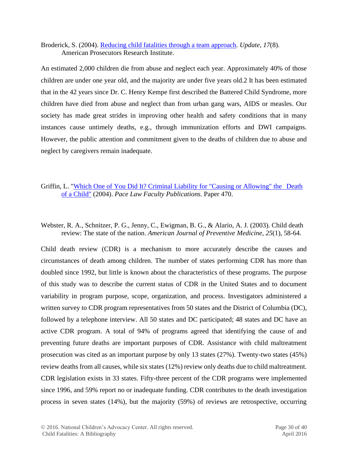Broderick, S. (2004). [Reducing child fatalities through a team approach.](http://courts.delaware.gov/childdeath/pdcc/ReducingChildFatalitiesThroug%20aTeamApproach.pdf) *Update, 17*(8). American Prosecutors Research Institute.

An estimated 2,000 children die from abuse and neglect each year. Approximately 40% of those children are under one year old, and the majority are under five years old.2 It has been estimated that in the 42 years since Dr. C. Henry Kempe first described the Battered Child Syndrome, more children have died from abuse and neglect than from urban gang wars, AIDS or measles. Our society has made great strides in improving other health and safety conditions that in many instances cause untimely deaths, e.g., through immunization efforts and DWI campaigns. However, the public attention and commitment given to the deaths of children due to abuse and neglect by caregivers remain inadequate.

## Griffin, L. "Which One of You Did It? Criminal Liability for "Causing or Allowing" the Death [of a Child"](http://digitalcommons.pace.edu/lawfaculty/470) (2004). *Pace Law Faculty Publications.* Paper 470.

Webster, R. A., Schnitzer, P. G., Jenny, C., Ewigman, B. G., & Alario, A. J. (2003). Child death review: The state of the nation. *American Journal of Preventive Medicine*, *25*(1), 58-64.

Child death review (CDR) is a mechanism to more accurately describe the causes and circumstances of death among children. The number of states performing CDR has more than doubled since 1992, but little is known about the characteristics of these programs. The purpose of this study was to describe the current status of CDR in the United States and to document variability in program purpose, scope, organization, and process. Investigators administered a written survey to CDR program representatives from 50 states and the District of Columbia (DC), followed by a telephone interview. All 50 states and DC participated; 48 states and DC have an active CDR program. A total of 94% of programs agreed that identifying the cause of and preventing future deaths are important purposes of CDR. Assistance with child maltreatment prosecution was cited as an important purpose by only 13 states (27%). Twenty-two states (45%) review deaths from all causes, while six states (12%) review only deaths due to child maltreatment. CDR legislation exists in 33 states. Fifty-three percent of the CDR programs were implemented since 1996, and 59% report no or inadequate funding. CDR contributes to the death investigation process in seven states (14%), but the majority (59%) of reviews are retrospective, occurring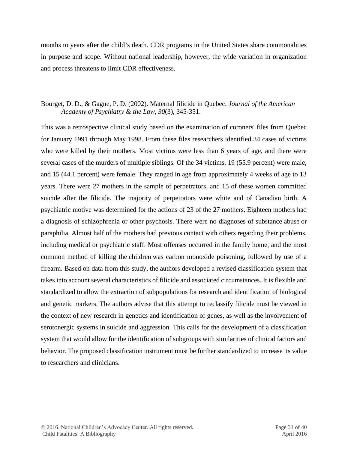months to years after the child's death. CDR programs in the United States share commonalities in purpose and scope. Without national leadership, however, the wide variation in organization and process threatens to limit CDR effectiveness.

### Bourget, D. D., & Gagne, P. D. (2002). Maternal filicide in Quebec. *Journal of the American Academy of Psychiatry & the Law*, *30*(3), 345-351.

This was a retrospective clinical study based on the examination of coroners' files from Quebec for January 1991 through May 1998. From these files researchers identified 34 cases of victims who were killed by their mothers. Most victims were less than 6 years of age, and there were several cases of the murders of multiple siblings. Of the 34 victims, 19 (55.9 percent) were male, and 15 (44.1 percent) were female. They ranged in age from approximately 4 weeks of age to 13 years. There were 27 mothers in the sample of perpetrators, and 15 of these women committed suicide after the filicide. The majority of perpetrators were white and of Canadian birth. A psychiatric motive was determined for the actions of 23 of the 27 mothers. Eighteen mothers had a diagnosis of schizophrenia or other psychosis. There were no diagnoses of substance abuse or paraphilia. Almost half of the mothers had previous contact with others regarding their problems, including medical or psychiatric staff. Most offenses occurred in the family home, and the most common method of killing the children was carbon monoxide poisoning, followed by use of a firearm. Based on data from this study, the authors developed a revised classification system that takes into account several characteristics of filicide and associated circumstances. It is flexible and standardized to allow the extraction of subpopulations for research and identification of biological and genetic markers. The authors advise that this attempt to reclassify filicide must be viewed in the context of new research in genetics and identification of genes, as well as the involvement of serotonergic systems in suicide and aggression. This calls for the development of a classification system that would allow for the identification of subgroups with similarities of clinical factors and behavior. The proposed classification instrument must be further standardized to increase its value to researchers and clinicians.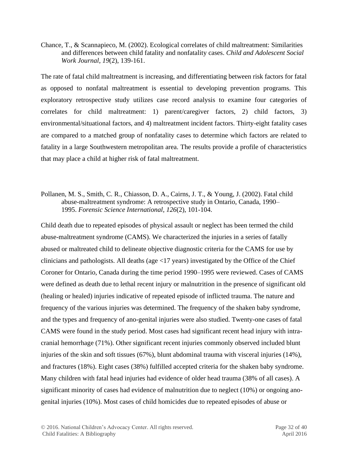Chance, T., & Scannapieco, M. (2002). Ecological correlates of child maltreatment: Similarities and differences between child fatality and nonfatality cases. *Child and Adolescent Social Work Journal*, *19*(2), 139-161.

The rate of fatal child maltreatment is increasing, and differentiating between risk factors for fatal as opposed to nonfatal maltreatment is essential to developing prevention programs. This exploratory retrospective study utilizes case record analysis to examine four categories of correlates for child maltreatment: 1) parent/caregiver factors, 2) child factors, 3) environmental/situational factors, and 4) maltreatment incident factors. Thirty-eight fatality cases are compared to a matched group of nonfatality cases to determine which factors are related to fatality in a large Southwestern metropolitan area. The results provide a profile of characteristics that may place a child at higher risk of fatal maltreatment.

#### Pollanen, M. S., Smith, C. R., Chiasson, D. A., Cairns, J. T., & Young, J. (2002). Fatal child abuse-maltreatment syndrome: A retrospective study in Ontario, Canada, 1990– 1995. *Forensic Science International*, *126*(2), 101-104.

Child death due to repeated episodes of physical assault or neglect has been termed the child abuse-maltreatment syndrome (CAMS). We characterized the injuries in a series of fatally abused or maltreated child to delineate objective diagnostic criteria for the CAMS for use by clinicians and pathologists. All deaths (age <17 years) investigated by the Office of the Chief Coroner for Ontario, Canada during the time period 1990–1995 were reviewed. Cases of CAMS were defined as death due to lethal recent injury or malnutrition in the presence of significant old (healing or healed) injuries indicative of repeated episode of inflicted trauma. The nature and frequency of the various injuries was determined. The frequency of the shaken baby syndrome, and the types and frequency of ano-genital injuries were also studied. Twenty-one cases of fatal CAMS were found in the study period. Most cases had significant recent head injury with intracranial hemorrhage (71%). Other significant recent injuries commonly observed included blunt injuries of the skin and soft tissues (67%), blunt abdominal trauma with visceral injuries (14%), and fractures (18%). Eight cases (38%) fulfilled accepted criteria for the shaken baby syndrome. Many children with fatal head injuries had evidence of older head trauma (38% of all cases). A significant minority of cases had evidence of malnutrition due to neglect (10%) or ongoing anogenital injuries (10%). Most cases of child homicides due to repeated episodes of abuse or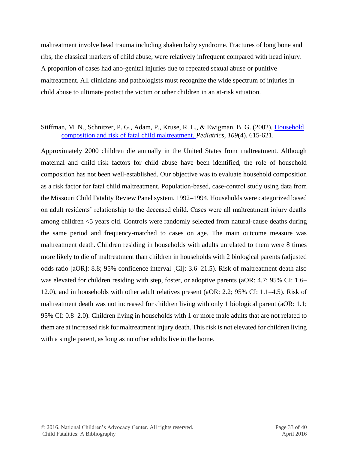maltreatment involve head trauma including shaken baby syndrome. Fractures of long bone and ribs, the classical markers of child abuse, were relatively infrequent compared with head injury. A proportion of cases had ano-genital injuries due to repeated sexual abuse or punitive maltreatment. All clinicians and pathologists must recognize the wide spectrum of injuries in child abuse to ultimate protect the victim or other children in an at-risk situation.

#### Stiffman, M. N., Schnitzer, P. G., Adam, P., Kruse, R. L., & Ewigman, B. G. (2002). [Household](http://pediatrics.aappublications.org/content/109/4/615.full.pdf+html)  [composition and risk of fatal child maltreatment.](http://pediatrics.aappublications.org/content/109/4/615.full.pdf+html) *Pediatrics*, *109*(4), 615-621.

Approximately 2000 children die annually in the United States from maltreatment. Although maternal and child risk factors for child abuse have been identified, the role of household composition has not been well-established. Our objective was to evaluate household composition as a risk factor for fatal child maltreatment. Population-based, case-control study using data from the Missouri Child Fatality Review Panel system, 1992–1994. Households were categorized based on adult residents' relationship to the deceased child. Cases were all maltreatment injury deaths among children <5 years old. Controls were randomly selected from natural-cause deaths during the same period and frequency-matched to cases on age. The main outcome measure was maltreatment death. Children residing in households with adults unrelated to them were 8 times more likely to die of maltreatment than children in households with 2 biological parents (adjusted odds ratio [aOR]: 8.8; 95% confidence interval [CI]: 3.6–21.5). Risk of maltreatment death also was elevated for children residing with step, foster, or adoptive parents (aOR: 4.7; 95% CI: 1.6– 12.0), and in households with other adult relatives present (aOR: 2.2; 95% CI: 1.1–4.5). Risk of maltreatment death was not increased for children living with only 1 biological parent (aOR: 1.1; 95% CI: 0.8–2.0). Children living in households with 1 or more male adults that are not related to them are at increased risk for maltreatment injury death. This risk is not elevated for children living with a single parent, as long as no other adults live in the home.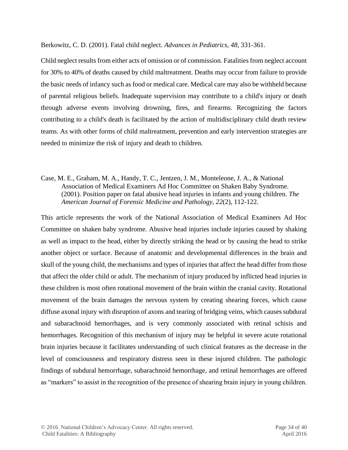Berkowitz, C. D. (2001). Fatal child neglect. *Advances in Pediatrics*, *48*, 331-361.

Child neglect results from either acts of omission or of commission. Fatalities from neglect account for 30% to 40% of deaths caused by child maltreatment. Deaths may occur from failure to provide the basic needs of infancy such as food or medical care. Medical care may also be withheld because of parental religious beliefs. Inadequate supervision may contribute to a child's injury or death through adverse events involving drowning, fires, and firearms. Recognizing the factors contributing to a child's death is facilitated by the action of multidisciplinary child death review teams. As with other forms of child maltreatment, prevention and early intervention strategies are needed to minimize the risk of injury and death to children.

Case, M. E., Graham, M. A., Handy, T. C., Jentzen, J. M., Monteleone, J. A., & National Association of Medical Examiners Ad Hoc Committee on Shaken Baby Syndrome. (2001). Position paper on fatal abusive head injuries in infants and young children. *The American Journal of Forensic Medicine and Pathology*, *22*(2), 112-122.

This article represents the work of the National Association of Medical Examiners Ad Hoc Committee on shaken baby syndrome. Abusive head injuries include injuries caused by shaking as well as impact to the head, either by directly striking the head or by causing the head to strike another object or surface. Because of anatomic and developmental differences in the brain and skull of the young child, the mechanisms and types of injuries that affect the head differ from those that affect the older child or adult. The mechanism of injury produced by inflicted head injuries in these children is most often rotational movement of the brain within the cranial cavity. Rotational movement of the brain damages the nervous system by creating shearing forces, which cause diffuse axonal injury with disruption of axons and tearing of bridging veins, which causes subdural and subarachnoid hemorrhages, and is very commonly associated with retinal schisis and hemorrhages. Recognition of this mechanism of injury may be helpful in severe acute rotational brain injuries because it facilitates understanding of such clinical features as the decrease in the level of consciousness and respiratory distress seen in these injured children. The pathologic findings of subdural hemorrhage, subarachnoid hemorrhage, and retinal hemorrhages are offered as "markers" to assist in the recognition of the presence of shearing brain injury in young children.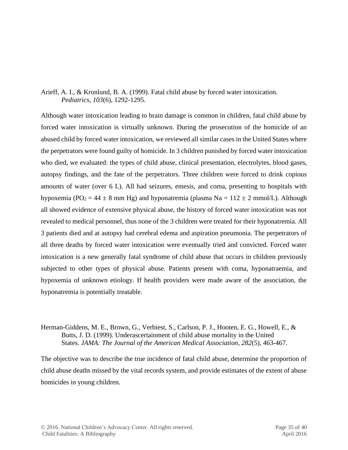## Arieff, A. I., & Kronlund, B. A. (1999). Fatal child abuse by forced water intoxication. *Pediatrics*, *103*(6), 1292-1295.

Although water intoxication leading to brain damage is common in children, fatal child abuse by forced water intoxication is virtually unknown. During the prosecution of the homicide of an abused child by forced water intoxication, we reviewed all similar cases in the United States where the perpetrators were found guilty of homicide. In 3 children punished by forced water intoxication who died, we evaluated: the types of child abuse, clinical presentation, electrolytes, blood gases, autopsy findings, and the fate of the perpetrators. Three children were forced to drink copious amounts of water (over 6 L). All had seizures, emesis, and coma, presenting to hospitals with hypoxemia (PO<sub>2</sub> = 44  $\pm$  8 mm Hg) and hyponatremia (plasma Na = 112  $\pm$  2 mmol/L). Although all showed evidence of extensive physical abuse, the history of forced water intoxication was not revealed to medical personnel, thus none of the 3 children were treated for their hyponatremia. All 3 patients died and at autopsy had cerebral edema and aspiration pneumonia. The perpetrators of all three deaths by forced water intoxication were eventually tried and convicted. Forced water intoxication is a new generally fatal syndrome of child abuse that occurs in children previously subjected to other types of physical abuse. Patients present with coma, hyponatraemia, and hypoxemia of unknown etiology. If health providers were made aware of the association, the hyponatremia is potentially treatable.

#### Herman-Giddens, M. E., Brown, G., Verbiest, S., Carlson, P. J., Hooten, E. G., Howell, E., & Butts, J. D. (1999). Underascertainment of child abuse mortality in the United States. *JAMA: The Journal of the American Medical Association*, *282*(5), 463-467.

The objective was to describe the true incidence of fatal child abuse, determine the proportion of child abuse deaths missed by the vital records system, and provide estimates of the extent of abuse homicides in young children.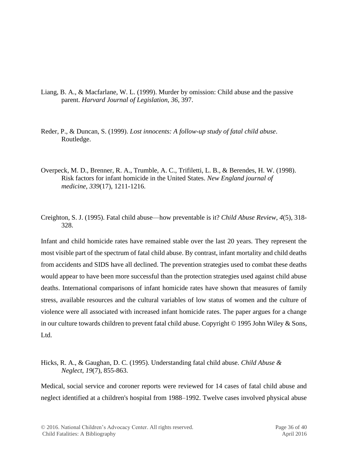- Liang, B. A., & Macfarlane, W. L. (1999). Murder by omission: Child abuse and the passive parent. *Harvard Journal of Legislation*, *36*, 397.
- Reder, P., & Duncan, S. (1999). *Lost innocents: A follow-up study of fatal child abuse*. Routledge.
- Overpeck, M. D., Brenner, R. A., Trumble, A. C., Trifiletti, L. B., & Berendes, H. W. (1998). Risk factors for infant homicide in the United States. *New England journal of medicine*, *339*(17), 1211-1216.
- Creighton, S. J. (1995). Fatal child abuse—how preventable is it? *Child Abuse Review*, *4*(5), 318- 328.

Infant and child homicide rates have remained stable over the last 20 years. They represent the most visible part of the spectrum of fatal child abuse. By contrast, infant mortality and child deaths from accidents and SIDS have all declined. The prevention strategies used to combat these deaths would appear to have been more successful than the protection strategies used against child abuse deaths. International comparisons of infant homicide rates have shown that measures of family stress, available resources and the cultural variables of low status of women and the culture of violence were all associated with increased infant homicide rates. The paper argues for a change in our culture towards children to prevent fatal child abuse. Copyright © 1995 John Wiley & Sons, Ltd.

Hicks, R. A., & Gaughan, D. C. (1995). Understanding fatal child abuse. *Child Abuse & Neglect*, *19*(7), 855-863.

Medical, social service and coroner reports were reviewed for 14 cases of fatal child abuse and neglect identified at a children's hospital from 1988–1992. Twelve cases involved physical abuse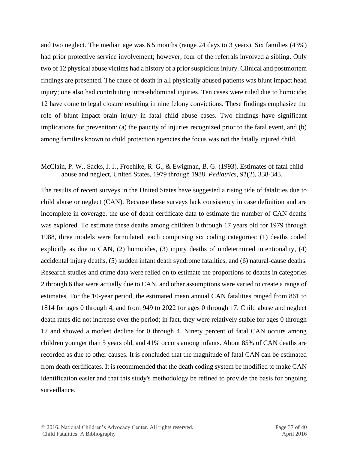and two neglect. The median age was 6.5 months (range 24 days to 3 years). Six families (43%) had prior protective service involvement; however, four of the referrals involved a sibling. Only two of 12 physical abuse victims had a history of a prior suspicious injury. Clinical and postmortem findings are presented. The cause of death in all physically abused patients was blunt impact head injury; one also had contributing intra-abdominal injuries. Ten cases were ruled due to homicide; 12 have come to legal closure resulting in nine felony convictions. These findings emphasize the role of blunt impact brain injury in fatal child abuse cases. Two findings have significant implications for prevention: (a) the paucity of injuries recognized prior to the fatal event, and (b) among families known to child protection agencies the focus was not the fatally injured child.

#### McClain, P. W., Sacks, J. J., Froehlke, R. G., & Ewigman, B. G. (1993). Estimates of fatal child abuse and neglect, United States, 1979 through 1988. *Pediatrics*, *91*(2), 338-343.

The results of recent surveys in the United States have suggested a rising tide of fatalities due to child abuse or neglect (CAN). Because these surveys lack consistency in case definition and are incomplete in coverage, the use of death certificate data to estimate the number of CAN deaths was explored. To estimate these deaths among children 0 through 17 years old for 1979 through 1988, three models were formulated, each comprising six coding categories: (1) deaths coded explicitly as due to CAN, (2) homicides, (3) injury deaths of undetermined intentionality, (4) accidental injury deaths, (5) sudden infant death syndrome fatalities, and (6) natural-cause deaths. Research studies and crime data were relied on to estimate the proportions of deaths in categories 2 through 6 that were actually due to CAN, and other assumptions were varied to create a range of estimates. For the 10-year period, the estimated mean annual CAN fatalities ranged from 861 to 1814 for ages 0 through 4, and from 949 to 2022 for ages 0 through 17. Child abuse and neglect death rates did not increase over the period; in fact, they were relatively stable for ages 0 through 17 and showed a modest decline for 0 through 4. Ninety percent of fatal CAN occurs among children younger than 5 years old, and 41% occurs among infants. About 85% of CAN deaths are recorded as due to other causes. It is concluded that the magnitude of fatal CAN can be estimated from death certificates. It is recommended that the death coding system be modified to make CAN identification easier and that this study's methodology be refined to provide the basis for ongoing surveillance.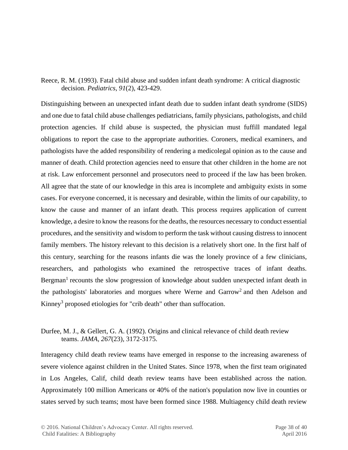Reece, R. M. (1993). Fatal child abuse and sudden infant death syndrome: A critical diagnostic decision. *Pediatrics*, *91*(2), 423-429.

Distinguishing between an unexpected infant death due to sudden infant death syndrome (SIDS) and one due to fatal child abuse challenges pediatricians, family physicians, pathologists, and child protection agencies. If child abuse is suspected, the physician must fuffill mandated legal obligations to report the case to the appropriate authorities. Coroners, medical examiners, and pathologists have the added responsibility of rendering a medicolegal opinion as to the cause and manner of death. Child protection agencies need to ensure that other children in the home are not at risk. Law enforcement personnel and prosecutors need to proceed if the law has been broken. All agree that the state of our knowledge in this area is incomplete and ambiguity exists in some cases. For everyone concerned, it is necessary and desirable, within the limits of our capability, to know the cause and manner of an infant death. This process requires application of current knowledge, a desire to know the reasons for the deaths, the resources necessary to conduct essential procedures, and the sensitivity and wisdom to perform the task without causing distress to innocent family members. The history relevant to this decision is a relatively short one. In the first half of this century, searching for the reasons infants die was the lonely province of a few clinicians, researchers, and pathologists who examined the retrospective traces of infant deaths. Bergman<sup>1</sup> recounts the slow progression of knowledge about sudden unexpected infant death in the pathologists' laboratories and morgues where Werne and Garrow<sup>2</sup> and then Adelson and Kinney<sup>3</sup> proposed etiologies for "crib death" other than suffocation.

## Durfee, M. J., & Gellert, G. A. (1992). Origins and clinical relevance of child death review teams. *JAMA, 267*(23), 3172-3175.

Interagency child death review teams have emerged in response to the increasing awareness of severe violence against children in the United States. Since 1978, when the first team originated in Los Angeles, Calif, child death review teams have been established across the nation. Approximately 100 million Americans or 40% of the nation's population now live in counties or states served by such teams; most have been formed since 1988. Multiagency child death review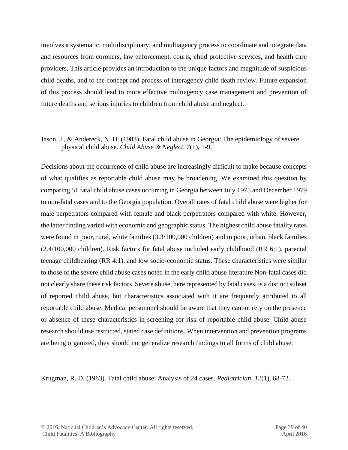involves a systematic, multidisciplinary, and multiagency process to coordinate and integrate data and resources from coroners, law enforcement, courts, child protective services, and health care providers. This article provides an introduction to the unique factors and magnitude of suspicious child deaths, and to the concept and process of interagency child death review. Future expansion of this process should lead to more effective multiagency case management and prevention of future deaths and serious injuries to children from child abuse and neglect.

#### Jason, J., & Andereck, N. D. (1983). Fatal child abuse in Georgia: The epidemiology of severe physical child abuse. *Child Abuse & Neglect*, *7*(1), 1-9.

Decisions about the occurrence of child abuse are increasingly difficult to make because concepts of what qualifies as reportable child abuse may be broadening. We examined this question by comparing 51 fatal child abuse cases occurring in Georgia between July 1975 and December 1979 to non-fatal cases and to the Georgia population. Overall rates of fatal child abuse were higher for male perpetrators compared with female and black perpetrators compared with white. However, the latter finding varied with economic and geographic status. The highest child abuse fatality rates were found in poor, rural, white families  $(3.3/100,000 \text{ children})$  and in poor, urban, black families (2.4/100,000 children). Risk factors for fatal abuse included early childhood (RR 6:1). parental teenage childbearing (RR 4:1). and low socio-economic status. These characteristics were similar to those of the severe child abuse cases noted in the early child abuse literature Non-fatal cases did not clearly share these risk factors. Severe abuse, here represented by fatal cases, is a distinct subset of reported child abuse, but characteristics associated with it are frequently attributed to all reportable child abuse. Medical personnnel should be aware that they cannot rely on the presence or absence of these characteristics in screening for risk of reportable child abuse. Child abuse research should use restricted, stated case definitions. When intervention and prevention programs are being organized, they should not generalize research findings to all forms of child abuse.

Krugman, R. D. (1983). Fatal child abuse: Analysis of 24 cases. *Pediatrician*, *12*(1), 68-72.